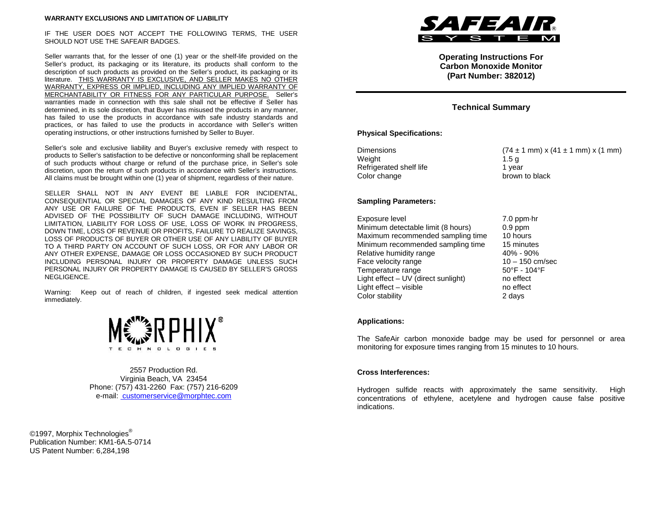#### **WARRANTY EXCLUSIONS AND LIMITATION OF LIABILITY**

IF THE USER DOES NOT ACCEPT THE FOLLOWING TERMS, THE USER SHOULD NOT USE THE SAFEAIR BADGES.

Seller warrants that, for the lesser of one (1) year or the shelf-life provided on the Seller's product, its packaging or its literature, its products shall conform to the description of such products as provided on the Seller's product, its packaging or its literature. THIS WARRANTY IS EXCLUSIVE, AND SELLER MAKES NO OTHER WARRANTY, EXPRESS OR IMPLIED, INCLUDING ANY IMPLIED WARRANTY OF MERCHANTABILITY OR FITNESS FOR ANY PARTICULAR PURPOSE. Seller's warranties made in connection with this sale shall not be effective if Seller has determined, in its sole discretion, that Buyer has misused the products in any manner, has failed to use the products in accordance with safe industry standards and practices, or has failed to use the products in accordance with Seller's written operating instructions, or other instructions furnished by Seller to Buyer.

Seller's sole and exclusive liability and Buyer's exclusive remedy with respect to products to Seller's satisfaction to be defective or nonconforming shall be replacement of such products without charge or refund of the purchase price, in Seller's sole discretion, upon the return of such products in accordance with Seller's instructions. All claims must be brought within one (1) year of shipment, regardless of their nature.

SELLER SHALL NOT IN ANY EVENT BE LIABLE FOR INCIDENTAL, CONSEQUENTIAL OR SPECIAL DAMAGES OF ANY KIND RESULTING FROM ANY USE OR FAILURE OF THE PRODUCTS, EVEN IF SELLER HAS BEEN ADVISED OF THE POSSIBILITY OF SUCH DAMAGE INCLUDING, WITHOUT LIMITATION, LIABILITY FOR LOSS OF USE, LOSS OF WORK IN PROGRESS, DOWN TIME, LOSS OF REVENUE OR PROFITS, FAILURE TO REALIZE SAVINGS, LOSS OF PRODUCTS OF BUYER OR OTHER USE OF ANY LIABILITY OF BUYER TO A THIRD PARTY ON ACCOUNT OF SUCH LOSS, OR FOR ANY LABOR OR ANY OTHER EXPENSE, DAMAGE OR LOSS OCCASIONED BY SUCH PRODUCT INCLUDING PERSONAL INJURY OR PROPERTY DAMAGE UNLESS SUCH PERSONAL INJURY OR PROPERTY DAMAGE IS CAUSED BY SELLER'S GROSS NEGLIGENCE.

Warning: Keep out of reach of children, if ingested seek medical attention immediately.



2557 Production Rd. Virginia Beach, VA 23454 Phone: (757) 431-2260 Fax: (757) 216-6209 e-mail: customerservice@morphtec.com

©1997, Morphix Technologies<sup>®</sup> Publication Number: KM1-6A.5-0714 US Patent Number: 6,284,198



**Operating Instructions For Carbon Monoxide Monitor (Part Number: 382012)**

## **Technical Summary**

#### **Physical Specifications:**

| <b>Dimensions</b>       | $(74 \pm 1 \text{ mm}) x$ |
|-------------------------|---------------------------|
| Weight                  | 1.5a                      |
| Refrigerated shelf life | 1 vear                    |
| Color change            | brown to black            |

Dimensions (74 ± 1 mm) x (41 ± 1 mm) x (1 mm)<br>Weight 1 5 g brown to black

## **Sampling Parameters:**

Exposure level 11 and 5 and 5 and 5 Exposure level 6 and 5 and 5 and 7.0 ppm⋅hr<br>Minimum detectable limit (8 hours) 6.9 ppm Minimum detectable limit (8 hours) **0.9 ppm**<br>Maximum recommended sampling time 10 hours Maximum recommended sampling time Minimum recommended sampling time 15 minutes Relative humidity range  $40\%$  - 90%<br>Face velocity range  $10 - 150$  cm/sec Face velocity range  $10 - 150$  cm/s<br>Temperature range  $50^{\circ}$ F -  $104^{\circ}$ F Temperature range 50°F - 10<br>Light effect – UV (direct sunlight) 50°F - 10 Light effect  $-$  UV (direct sunlight) Light effect – visible no effect Color stability 2 days

#### **Applications:**

The SafeAir carbon monoxide badge may be used for personnel or area monitoring for exposure times ranging from 15 minutes to 10 hours.

### **Cross Interferences:**

Hydrogen sulfide reacts with approximately the same sensitivity. High concentrations of ethylene, acetylene and hydrogen cause false positive indications.